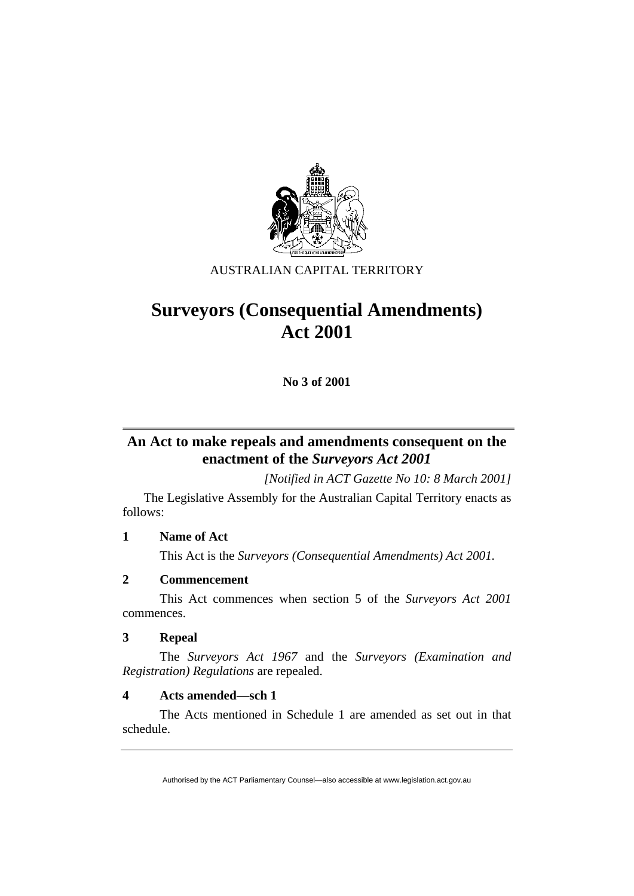

# AUSTRALIAN CAPITAL TERRITORY

# **Surveyors (Consequential Amendments) Act 2001**

**No 3 of 2001** 

# **An Act to make repeals and amendments consequent on the enactment of the** *Surveyors Act 2001*

*[Notified in ACT Gazette No 10: 8 March 2001]* 

 The Legislative Assembly for the Australian Capital Territory enacts as follows:

# **1 Name of Act**

This Act is the *Surveyors (Consequential Amendments) Act 2001.*

# **2 Commencement**

 This Act commences when section 5 of the *Surveyors Act 2001* commences.

# **3 Repeal**

 The *Surveyors Act 1967* and the *Surveyors (Examination and Registration) Regulations* are repealed.

# **4 Acts amended—sch 1**

 The Acts mentioned in Schedule 1 are amended as set out in that schedule.

Authorised by the ACT Parliamentary Counsel—also accessible at www.legislation.act.gov.au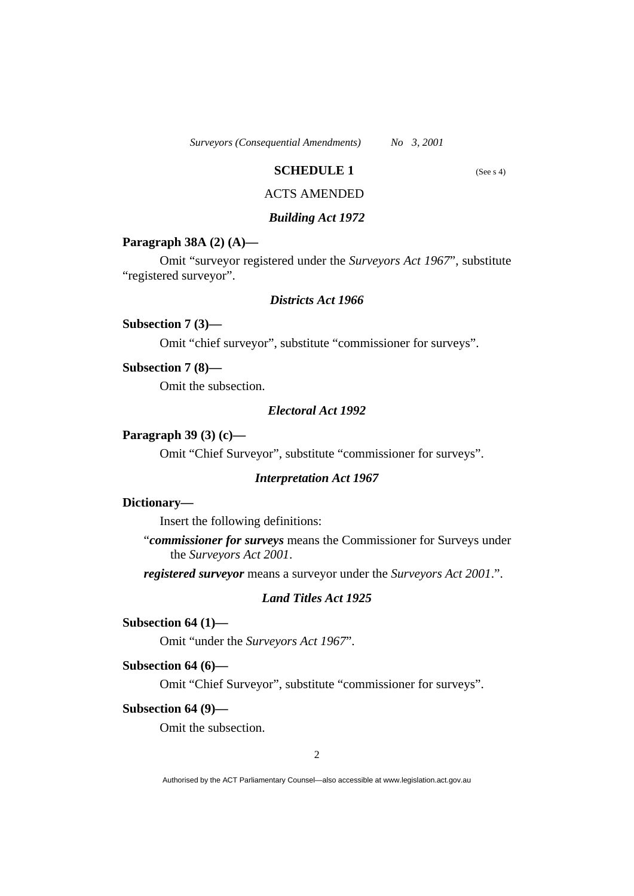*Surveyors (Consequential Amendments) No 3, 2001* 

# **SCHEDULE 1** (See s 4)

# ACTS AMENDED

#### *Building Act 1972*

#### **Paragraph 38A (2) (A)—**

 Omit "surveyor registered under the *Surveyors Act 1967*", substitute "registered surveyor".

### *Districts Act 1966*

## **Subsection 7 (3)—**

Omit "chief surveyor", substitute "commissioner for surveys".

#### **Subsection 7 (8)—**

Omit the subsection.

# *Electoral Act 1992*

#### **Paragraph 39 (3) (c)—**

Omit "Chief Surveyor", substitute "commissioner for surveys".

#### *Interpretation Act 1967*

#### **Dictionary—**

Insert the following definitions:

"*commissioner for surveys* means the Commissioner for Surveys under the *Surveyors Act 2001*.

*registered surveyor* means a surveyor under the *Surveyors Act 2001*.".

#### *Land Titles Act 1925*

# **Subsection 64 (1)—**

Omit "under the *Surveyors Act 1967*".

#### **Subsection 64 (6)—**

Omit "Chief Surveyor", substitute "commissioner for surveys".

#### **Subsection 64 (9)—**

Omit the subsection.

Authorised by the ACT Parliamentary Counsel—also accessible at www.legislation.act.gov.au